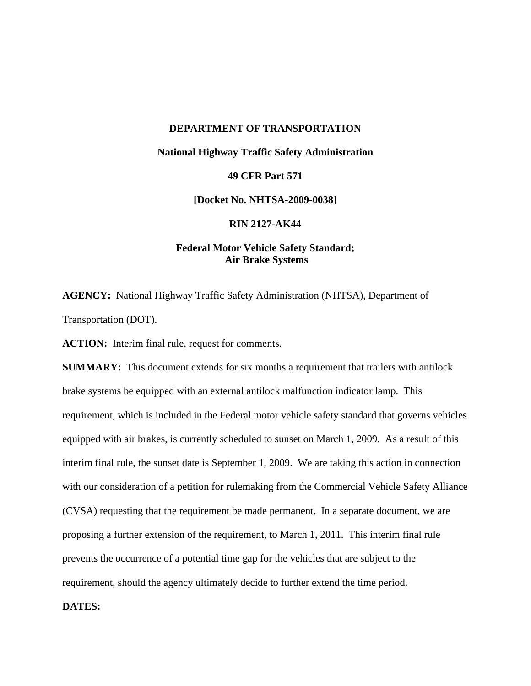# **DEPARTMENT OF TRANSPORTATION National Highway Traffic Safety Administration**

# **49 CFR Part 571**

**[Docket No. NHTSA-2009-0038]** 

## **RIN 2127-AK44**

# **Federal Motor Vehicle Safety Standard; Air Brake Systems**

**AGENCY:** National Highway Traffic Safety Administration (NHTSA), Department of Transportation (DOT).

**ACTION:** Interim final rule, request for comments.

**SUMMARY:** This document extends for six months a requirement that trailers with antilock brake systems be equipped with an external antilock malfunction indicator lamp. This requirement, which is included in the Federal motor vehicle safety standard that governs vehicles equipped with air brakes, is currently scheduled to sunset on March 1, 2009. As a result of this interim final rule, the sunset date is September 1, 2009. We are taking this action in connection with our consideration of a petition for rulemaking from the Commercial Vehicle Safety Alliance (CVSA) requesting that the requirement be made permanent. In a separate document, we are proposing a further extension of the requirement, to March 1, 2011. This interim final rule prevents the occurrence of a potential time gap for the vehicles that are subject to the requirement, should the agency ultimately decide to further extend the time period.

# **DATES:**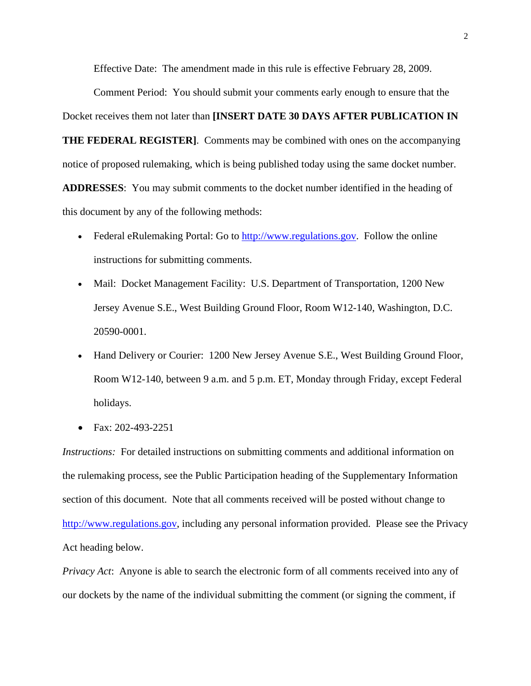Effective Date: The amendment made in this rule is effective February 28, 2009.

Comment Period: You should submit your comments early enough to ensure that the Docket receives them not later than **[INSERT DATE 30 DAYS AFTER PUBLICATION IN** 

**THE FEDERAL REGISTER]**. Comments may be combined with ones on the accompanying notice of proposed rulemaking, which is being published today using the same docket number.

**ADDRESSES**: You may submit comments to the docket number identified in the heading of this document by any of the following methods:

- Federal eRulemaking Portal: Go to http://www.regulations.gov. Follow the online instructions for submitting comments.
- Mail: Docket Management Facility: U.S. Department of Transportation, 1200 New Jersey Avenue S.E., West Building Ground Floor, Room W12-140, Washington, D.C. 20590-0001.
- Hand Delivery or Courier: 1200 New Jersey Avenue S.E., West Building Ground Floor, Room W12-140, between 9 a.m. and 5 p.m. ET, Monday through Friday, except Federal holidays.
- Fax: 202-493-2251

*Instructions:* For detailed instructions on submitting comments and additional information on the rulemaking process, see the Public Participation heading of the Supplementary Information section of this document. Note that all comments received will be posted without change to http://www.regulations.gov, including any personal information provided. Please see the Privacy Act heading below.

*Privacy Act*: Anyone is able to search the electronic form of all comments received into any of our dockets by the name of the individual submitting the comment (or signing the comment, if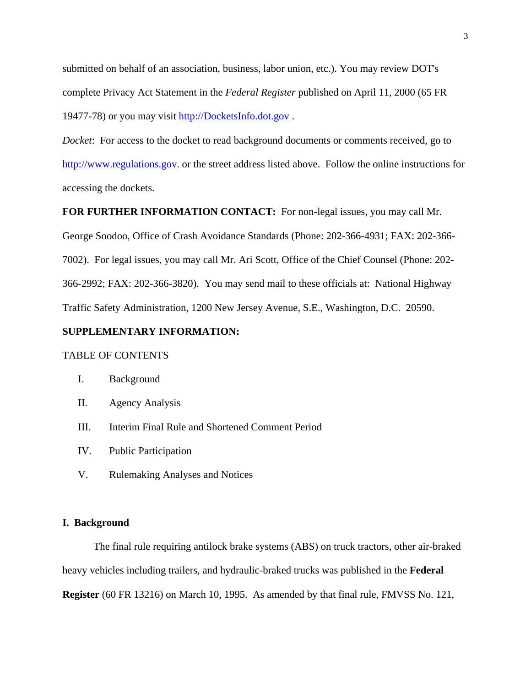submitted on behalf of an association, business, labor union, etc.). You may review DOT's complete Privacy Act Statement in the *Federal Register* published on April 11, 2000 (65 FR 19477-78) or you may visit http://DocketsInfo.dot.gov .

*Docket*: For access to the docket to read background documents or comments received, go to http://www.regulations.gov. or the street address listed above. Follow the online instructions for accessing the dockets.

## **FOR FURTHER INFORMATION CONTACT:** For non-legal issues, you may call Mr.

George Soodoo, Office of Crash Avoidance Standards (Phone: 202-366-4931; FAX: 202-366- 7002). For legal issues, you may call Mr. Ari Scott, Office of the Chief Counsel (Phone: 202- 366-2992; FAX: 202-366-3820). You may send mail to these officials at: National Highway Traffic Safety Administration, 1200 New Jersey Avenue, S.E., Washington, D.C. 20590.

## **SUPPLEMENTARY INFORMATION:**

### TABLE OF CONTENTS

#### I. Background

- II. Agency Analysis
- III. Interim Final Rule and Shortened Comment Period
- IV. Public Participation
- V. Rulemaking Analyses and Notices

## **I. Background**

The final rule requiring antilock brake systems (ABS) on truck tractors, other air-braked heavy vehicles including trailers, and hydraulic-braked trucks was published in the **Federal Register** (60 FR 13216) on March 10, 1995. As amended by that final rule, FMVSS No. 121,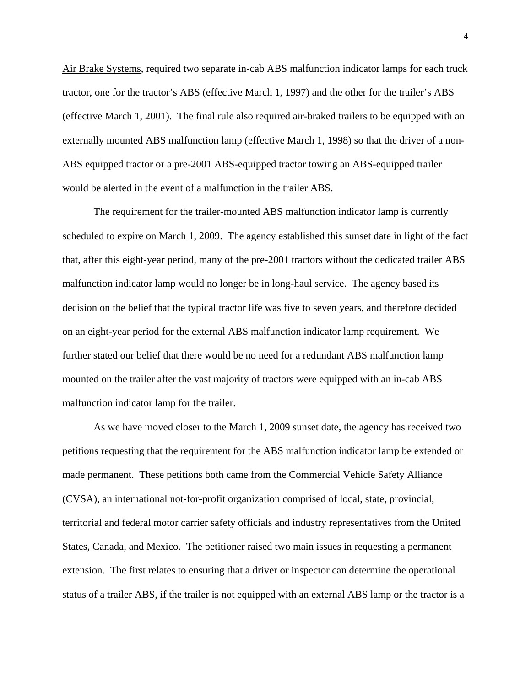Air Brake Systems, required two separate in-cab ABS malfunction indicator lamps for each truck tractor, one for the tractor's ABS (effective March 1, 1997) and the other for the trailer's ABS (effective March 1, 2001). The final rule also required air-braked trailers to be equipped with an externally mounted ABS malfunction lamp (effective March 1, 1998) so that the driver of a non-ABS equipped tractor or a pre-2001 ABS-equipped tractor towing an ABS-equipped trailer would be alerted in the event of a malfunction in the trailer ABS.

The requirement for the trailer-mounted ABS malfunction indicator lamp is currently scheduled to expire on March 1, 2009. The agency established this sunset date in light of the fact that, after this eight-year period, many of the pre-2001 tractors without the dedicated trailer ABS malfunction indicator lamp would no longer be in long-haul service. The agency based its decision on the belief that the typical tractor life was five to seven years, and therefore decided on an eight-year period for the external ABS malfunction indicator lamp requirement. We further stated our belief that there would be no need for a redundant ABS malfunction lamp mounted on the trailer after the vast majority of tractors were equipped with an in-cab ABS malfunction indicator lamp for the trailer.

As we have moved closer to the March 1, 2009 sunset date, the agency has received two petitions requesting that the requirement for the ABS malfunction indicator lamp be extended or made permanent. These petitions both came from the Commercial Vehicle Safety Alliance (CVSA), an international not-for-profit organization comprised of local, state, provincial, territorial and federal motor carrier safety officials and industry representatives from the United States, Canada, and Mexico. The petitioner raised two main issues in requesting a permanent extension. The first relates to ensuring that a driver or inspector can determine the operational status of a trailer ABS, if the trailer is not equipped with an external ABS lamp or the tractor is a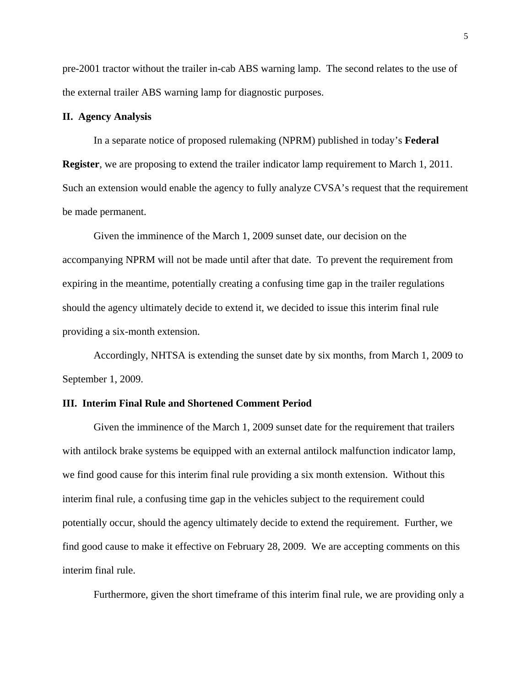pre-2001 tractor without the trailer in-cab ABS warning lamp. The second relates to the use of the external trailer ABS warning lamp for diagnostic purposes.

#### **II. Agency Analysis**

In a separate notice of proposed rulemaking (NPRM) published in today's **Federal Register**, we are proposing to extend the trailer indicator lamp requirement to March 1, 2011. Such an extension would enable the agency to fully analyze CVSA's request that the requirement be made permanent.

Given the imminence of the March 1, 2009 sunset date, our decision on the accompanying NPRM will not be made until after that date. To prevent the requirement from expiring in the meantime, potentially creating a confusing time gap in the trailer regulations should the agency ultimately decide to extend it, we decided to issue this interim final rule providing a six-month extension.

Accordingly, NHTSA is extending the sunset date by six months, from March 1, 2009 to September 1, 2009.

## **III. Interim Final Rule and Shortened Comment Period**

Given the imminence of the March 1, 2009 sunset date for the requirement that trailers with antilock brake systems be equipped with an external antilock malfunction indicator lamp, we find good cause for this interim final rule providing a six month extension. Without this interim final rule, a confusing time gap in the vehicles subject to the requirement could potentially occur, should the agency ultimately decide to extend the requirement. Further, we find good cause to make it effective on February 28, 2009. We are accepting comments on this interim final rule.

Furthermore, given the short timeframe of this interim final rule, we are providing only a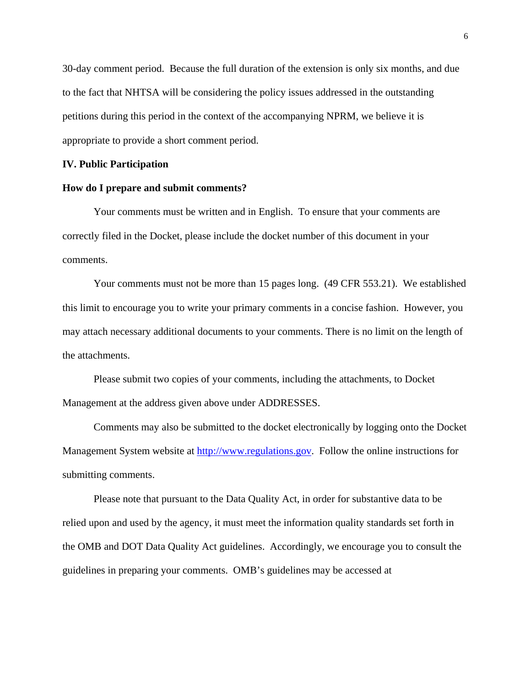30-day comment period. Because the full duration of the extension is only six months, and due to the fact that NHTSA will be considering the policy issues addressed in the outstanding petitions during this period in the context of the accompanying NPRM, we believe it is appropriate to provide a short comment period.

## **IV. Public Participation**

#### **How do I prepare and submit comments?**

Your comments must be written and in English. To ensure that your comments are correctly filed in the Docket, please include the docket number of this document in your comments.

Your comments must not be more than 15 pages long. (49 CFR 553.21). We established this limit to encourage you to write your primary comments in a concise fashion. However, you may attach necessary additional documents to your comments. There is no limit on the length of the attachments.

Please submit two copies of your comments, including the attachments, to Docket Management at the address given above under ADDRESSES.

Comments may also be submitted to the docket electronically by logging onto the Docket Management System website at http://www.regulations.gov. Follow the online instructions for submitting comments.

Please note that pursuant to the Data Quality Act, in order for substantive data to be relied upon and used by the agency, it must meet the information quality standards set forth in the OMB and DOT Data Quality Act guidelines. Accordingly, we encourage you to consult the guidelines in preparing your comments. OMB's guidelines may be accessed at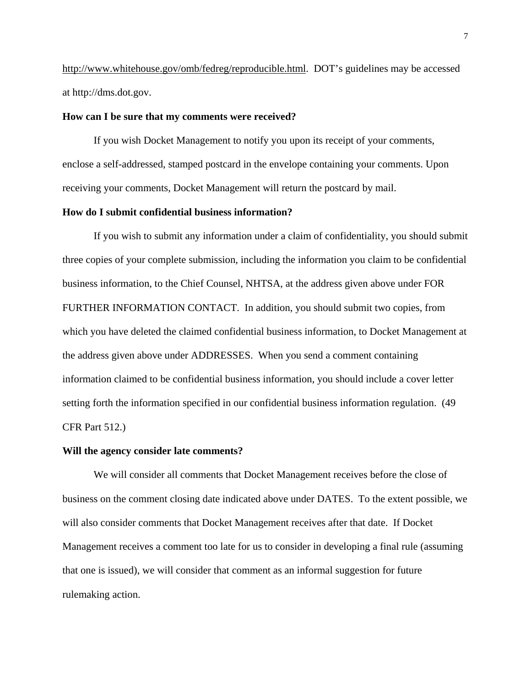http://www.whitehouse.gov/omb/fedreg/reproducible.html. DOT's guidelines may be accessed at http://dms.dot.gov.

#### **How can I be sure that my comments were received?**

If you wish Docket Management to notify you upon its receipt of your comments, enclose a self-addressed, stamped postcard in the envelope containing your comments. Upon receiving your comments, Docket Management will return the postcard by mail.

#### **How do I submit confidential business information?**

If you wish to submit any information under a claim of confidentiality, you should submit three copies of your complete submission, including the information you claim to be confidential business information, to the Chief Counsel, NHTSA, at the address given above under FOR FURTHER INFORMATION CONTACT. In addition, you should submit two copies, from which you have deleted the claimed confidential business information, to Docket Management at the address given above under ADDRESSES. When you send a comment containing information claimed to be confidential business information, you should include a cover letter setting forth the information specified in our confidential business information regulation. (49 CFR Part 512.)

#### **Will the agency consider late comments?**

We will consider all comments that Docket Management receives before the close of business on the comment closing date indicated above under DATES. To the extent possible, we will also consider comments that Docket Management receives after that date. If Docket Management receives a comment too late for us to consider in developing a final rule (assuming that one is issued), we will consider that comment as an informal suggestion for future rulemaking action.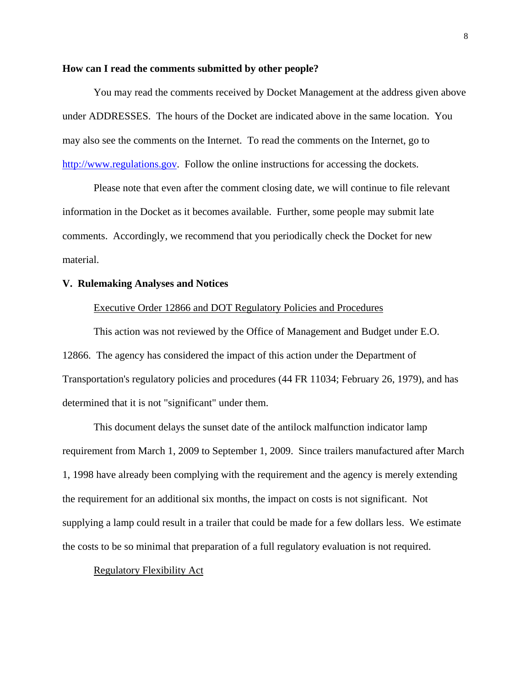## **How can I read the comments submitted by other people?**

You may read the comments received by Docket Management at the address given above under ADDRESSES. The hours of the Docket are indicated above in the same location. You may also see the comments on the Internet. To read the comments on the Internet, go to http://www.regulations.gov. Follow the online instructions for accessing the dockets.

Please note that even after the comment closing date, we will continue to file relevant information in the Docket as it becomes available. Further, some people may submit late comments. Accordingly, we recommend that you periodically check the Docket for new material.

#### **V. Rulemaking Analyses and Notices**

#### Executive Order 12866 and DOT Regulatory Policies and Procedures

This action was not reviewed by the Office of Management and Budget under E.O. 12866. The agency has considered the impact of this action under the Department of Transportation's regulatory policies and procedures (44 FR 11034; February 26, 1979), and has determined that it is not "significant" under them.

This document delays the sunset date of the antilock malfunction indicator lamp requirement from March 1, 2009 to September 1, 2009. Since trailers manufactured after March 1, 1998 have already been complying with the requirement and the agency is merely extending the requirement for an additional six months, the impact on costs is not significant. Not supplying a lamp could result in a trailer that could be made for a few dollars less. We estimate the costs to be so minimal that preparation of a full regulatory evaluation is not required.

#### Regulatory Flexibility Act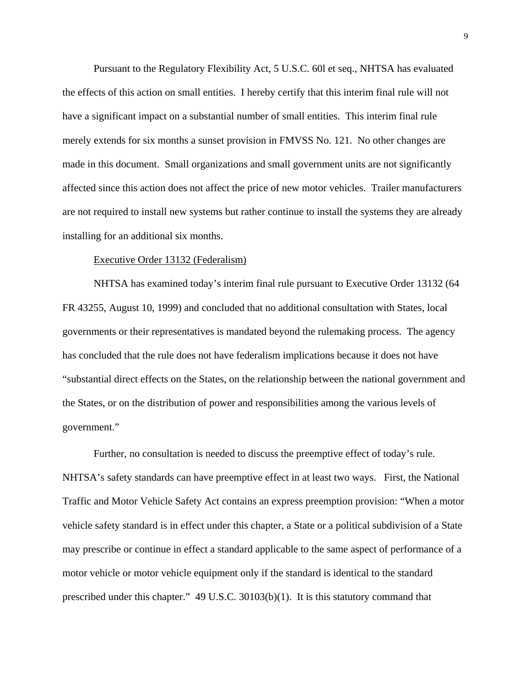Pursuant to the Regulatory Flexibility Act, 5 U.S.C. 60l et seq., NHTSA has evaluated the effects of this action on small entities. I hereby certify that this interim final rule will not have a significant impact on a substantial number of small entities. This interim final rule merely extends for six months a sunset provision in FMVSS No. 121. No other changes are made in this document. Small organizations and small government units are not significantly affected since this action does not affect the price of new motor vehicles. Trailer manufacturers are not required to install new systems but rather continue to install the systems they are already installing for an additional six months.

#### Executive Order 13132 (Federalism)

NHTSA has examined today's interim final rule pursuant to Executive Order 13132 (64 FR 43255, August 10, 1999) and concluded that no additional consultation with States, local governments or their representatives is mandated beyond the rulemaking process. The agency has concluded that the rule does not have federalism implications because it does not have "substantial direct effects on the States, on the relationship between the national government and the States, or on the distribution of power and responsibilities among the various levels of government."

Further, no consultation is needed to discuss the preemptive effect of today's rule. NHTSA's safety standards can have preemptive effect in at least two ways. First, the National Traffic and Motor Vehicle Safety Act contains an express preemption provision: "When a motor vehicle safety standard is in effect under this chapter, a State or a political subdivision of a State may prescribe or continue in effect a standard applicable to the same aspect of performance of a motor vehicle or motor vehicle equipment only if the standard is identical to the standard prescribed under this chapter." 49 U.S.C. 30103(b)(1). It is this statutory command that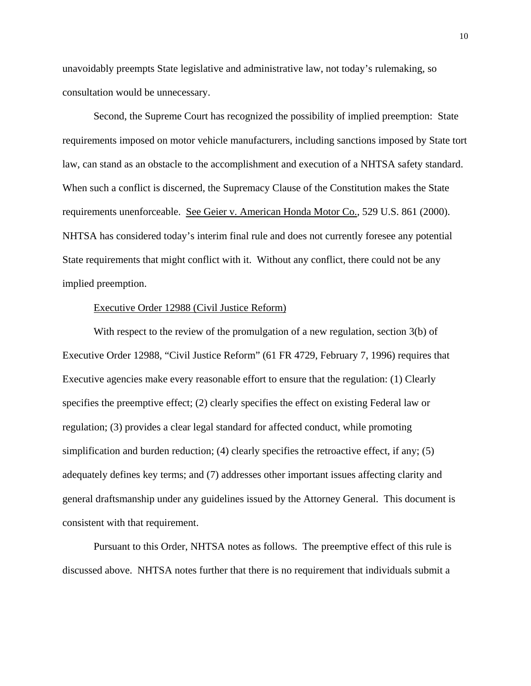unavoidably preempts State legislative and administrative law, not today's rulemaking, so consultation would be unnecessary.

Second, the Supreme Court has recognized the possibility of implied preemption: State requirements imposed on motor vehicle manufacturers, including sanctions imposed by State tort law, can stand as an obstacle to the accomplishment and execution of a NHTSA safety standard. When such a conflict is discerned, the Supremacy Clause of the Constitution makes the State requirements unenforceable. See Geier v. American Honda Motor Co., 529 U.S. 861 (2000). NHTSA has considered today's interim final rule and does not currently foresee any potential State requirements that might conflict with it. Without any conflict, there could not be any implied preemption.

#### Executive Order 12988 (Civil Justice Reform)

With respect to the review of the promulgation of a new regulation, section 3(b) of Executive Order 12988, "Civil Justice Reform" (61 FR 4729, February 7, 1996) requires that Executive agencies make every reasonable effort to ensure that the regulation: (1) Clearly specifies the preemptive effect; (2) clearly specifies the effect on existing Federal law or regulation; (3) provides a clear legal standard for affected conduct, while promoting simplification and burden reduction; (4) clearly specifies the retroactive effect, if any; (5) adequately defines key terms; and (7) addresses other important issues affecting clarity and general draftsmanship under any guidelines issued by the Attorney General. This document is consistent with that requirement.

Pursuant to this Order, NHTSA notes as follows. The preemptive effect of this rule is discussed above. NHTSA notes further that there is no requirement that individuals submit a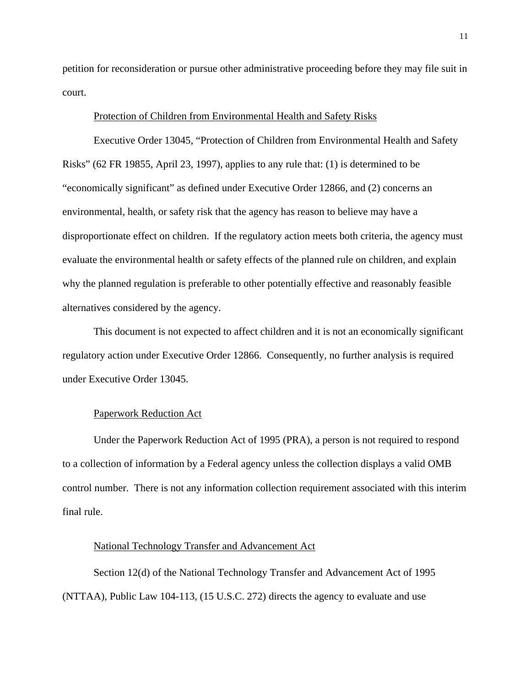petition for reconsideration or pursue other administrative proceeding before they may file suit in court.

#### Protection of Children from Environmental Health and Safety Risks

Executive Order 13045, "Protection of Children from Environmental Health and Safety Risks" (62 FR 19855, April 23, 1997), applies to any rule that: (1) is determined to be "economically significant" as defined under Executive Order 12866, and (2) concerns an environmental, health, or safety risk that the agency has reason to believe may have a disproportionate effect on children. If the regulatory action meets both criteria, the agency must evaluate the environmental health or safety effects of the planned rule on children, and explain why the planned regulation is preferable to other potentially effective and reasonably feasible alternatives considered by the agency.

This document is not expected to affect children and it is not an economically significant regulatory action under Executive Order 12866. Consequently, no further analysis is required under Executive Order 13045.

## Paperwork Reduction Act

Under the Paperwork Reduction Act of 1995 (PRA), a person is not required to respond to a collection of information by a Federal agency unless the collection displays a valid OMB control number. There is not any information collection requirement associated with this interim final rule.

#### National Technology Transfer and Advancement Act

Section 12(d) of the National Technology Transfer and Advancement Act of 1995 (NTTAA), Public Law 104-113, (15 U.S.C. 272) directs the agency to evaluate and use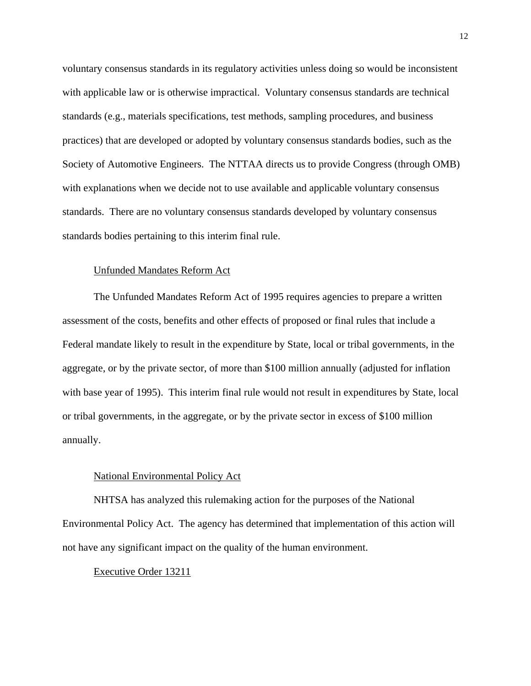voluntary consensus standards in its regulatory activities unless doing so would be inconsistent with applicable law or is otherwise impractical. Voluntary consensus standards are technical standards (e.g., materials specifications, test methods, sampling procedures, and business practices) that are developed or adopted by voluntary consensus standards bodies, such as the Society of Automotive Engineers. The NTTAA directs us to provide Congress (through OMB) with explanations when we decide not to use available and applicable voluntary consensus standards. There are no voluntary consensus standards developed by voluntary consensus standards bodies pertaining to this interim final rule.

#### Unfunded Mandates Reform Act

The Unfunded Mandates Reform Act of 1995 requires agencies to prepare a written assessment of the costs, benefits and other effects of proposed or final rules that include a Federal mandate likely to result in the expenditure by State, local or tribal governments, in the aggregate, or by the private sector, of more than \$100 million annually (adjusted for inflation with base year of 1995). This interim final rule would not result in expenditures by State, local or tribal governments, in the aggregate, or by the private sector in excess of \$100 million annually.

## National Environmental Policy Act

NHTSA has analyzed this rulemaking action for the purposes of the National Environmental Policy Act. The agency has determined that implementation of this action will not have any significant impact on the quality of the human environment.

#### Executive Order 13211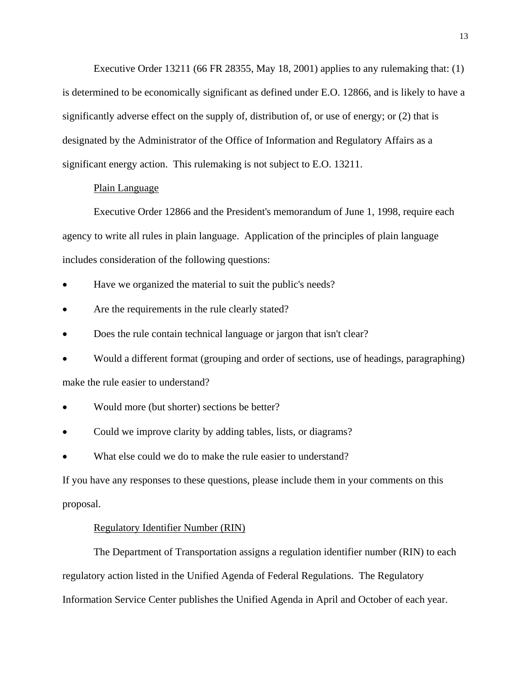Executive Order 13211 (66 FR 28355, May 18, 2001) applies to any rulemaking that: (1) is determined to be economically significant as defined under E.O. 12866, and is likely to have a significantly adverse effect on the supply of, distribution of, or use of energy; or (2) that is designated by the Administrator of the Office of Information and Regulatory Affairs as a significant energy action. This rulemaking is not subject to E.O. 13211.

## Plain Language

Executive Order 12866 and the President's memorandum of June 1, 1998, require each agency to write all rules in plain language. Application of the principles of plain language includes consideration of the following questions:

- Have we organized the material to suit the public's needs?
- Are the requirements in the rule clearly stated?
- Does the rule contain technical language or jargon that isn't clear?
- Would a different format (grouping and order of sections, use of headings, paragraphing) make the rule easier to understand?
- Would more (but shorter) sections be better?
- Could we improve clarity by adding tables, lists, or diagrams?
- What else could we do to make the rule easier to understand?

If you have any responses to these questions, please include them in your comments on this proposal.

## Regulatory Identifier Number (RIN)

The Department of Transportation assigns a regulation identifier number (RIN) to each regulatory action listed in the Unified Agenda of Federal Regulations. The Regulatory Information Service Center publishes the Unified Agenda in April and October of each year.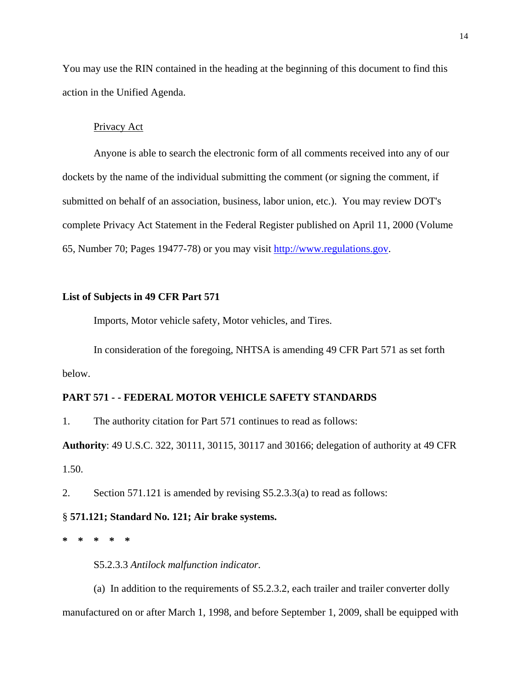You may use the RIN contained in the heading at the beginning of this document to find this action in the Unified Agenda.

## Privacy Act

Anyone is able to search the electronic form of all comments received into any of our dockets by the name of the individual submitting the comment (or signing the comment, if submitted on behalf of an association, business, labor union, etc.). You may review DOT's complete Privacy Act Statement in the Federal Register published on April 11, 2000 (Volume 65, Number 70; Pages 19477-78) or you may visit http://www.regulations.gov.

## **List of Subjects in 49 CFR Part 571**

Imports, Motor vehicle safety, Motor vehicles, and Tires.

In consideration of the foregoing, NHTSA is amending 49 CFR Part 571 as set forth below.

# **PART 571 - - FEDERAL MOTOR VEHICLE SAFETY STANDARDS**

1. The authority citation for Part 571 continues to read as follows:

**Authority**: 49 U.S.C. 322, 30111, 30115, 30117 and 30166; delegation of authority at 49 CFR 1.50.

2. Section 571.121 is amended by revising S5.2.3.3(a) to read as follows:

## § **571.121; Standard No. 121; Air brake systems.**

**\* \* \* \* \*** 

S5.2.3.3 *Antilock malfunction indicator.* 

(a) In addition to the requirements of S5.2.3.2, each trailer and trailer converter dolly manufactured on or after March 1, 1998, and before September 1, 2009, shall be equipped with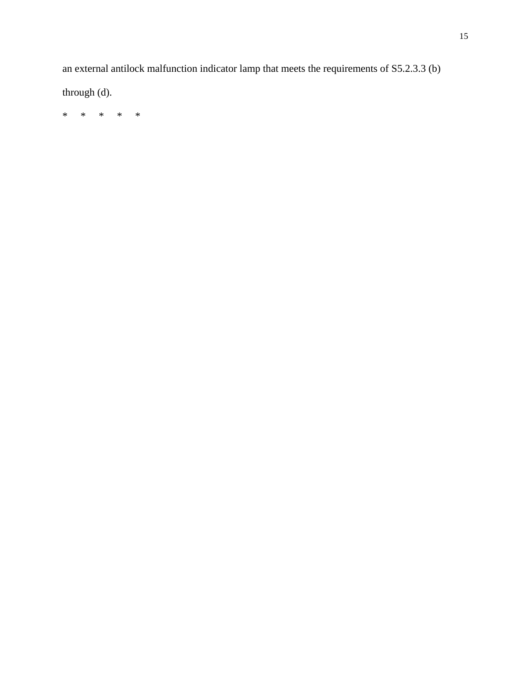an external antilock malfunction indicator lamp that meets the requirements of S5.2.3.3 (b) through (d).

\* \* \* \* \*